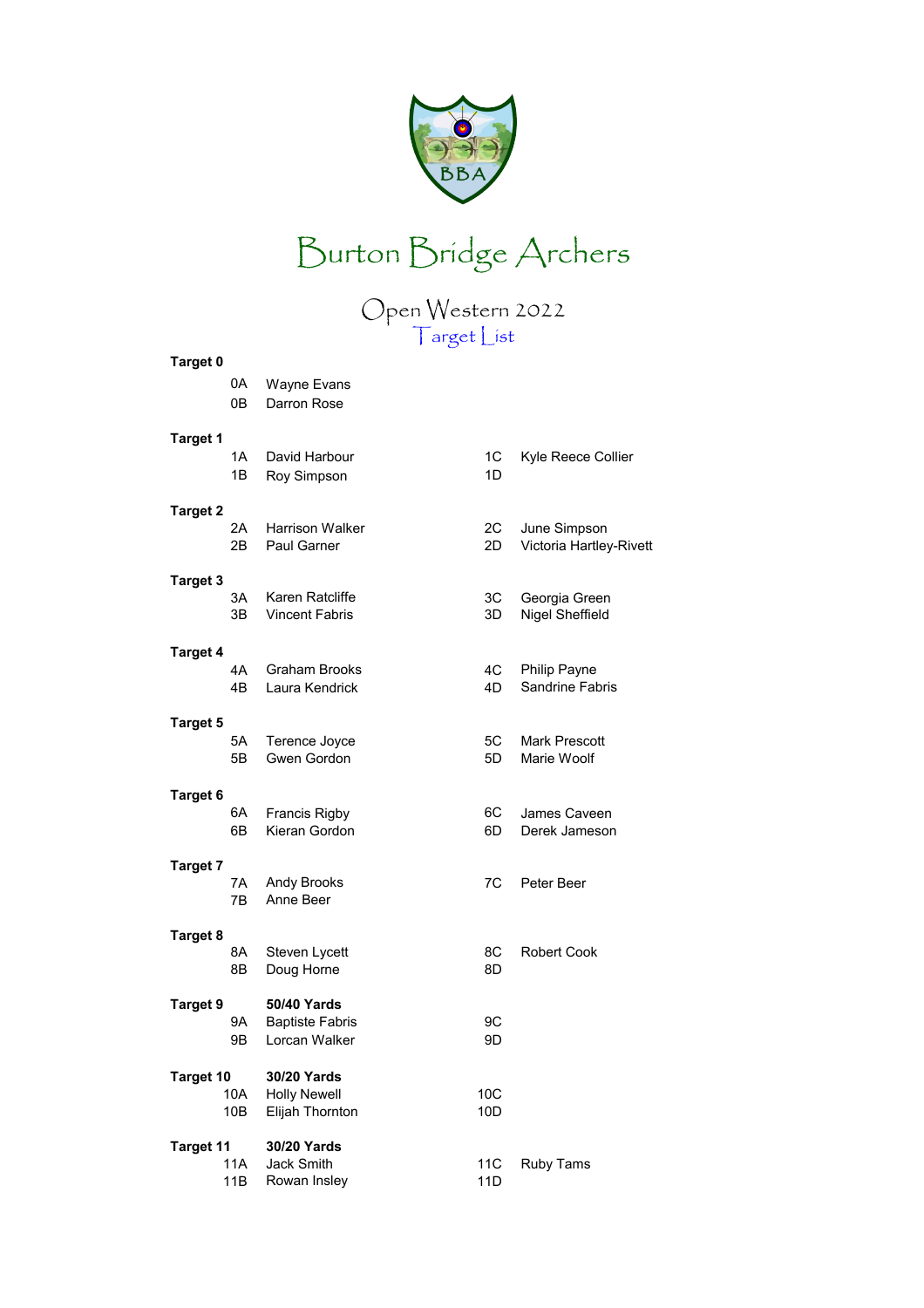



Open Western 2022

|                                | $\smash{\smash{\bigtriangledown_{\mathsf{P}}}}$<br>Target List |             |                                         |
|--------------------------------|----------------------------------------------------------------|-------------|-----------------------------------------|
| <b>Target 0</b><br>0А          | Wayne Evans                                                    |             |                                         |
| 0В                             | Darron Rose                                                    |             |                                         |
| <b>Target 1</b><br>1Α<br>1Β    | David Harbour<br>Roy Simpson                                   | 1C<br>1D    | Kyle Reece Collier                      |
| <b>Target 2</b><br>2A<br>2В.   | <b>Harrison Walker</b><br><b>Paul Garner</b>                   | 2C<br>2D    | June Simpson<br>Victoria Hartley-Rivett |
| <b>Target 3</b><br>3A<br>3В.   | Karen Ratcliffe<br><b>Vincent Fabris</b>                       | 3C<br>3D    | Georgia Green<br>Nigel Sheffield        |
| <b>Target 4</b><br>4Α<br>4Β    | <b>Graham Brooks</b><br>Laura Kendrick                         | 4C<br>4D    | Philip Payne<br>Sandrine Fabris         |
| <b>Target 5</b><br>5А<br>5B    | Terence Joyce<br>Gwen Gordon                                   | 5C<br>5D    | <b>Mark Prescott</b><br>Marie Woolf     |
| <b>Target 6</b><br>6A<br>6В    | Francis Rigby<br>Kieran Gordon                                 | 6C  <br>6D. | James Caveen<br>Derek Jameson           |
| <b>Target 7</b><br>7A<br>7В    | Andy Brooks<br>Anne Beer                                       | 7C          | Peter Beer                              |
| Target 8<br>8Α<br>8B           | Steven Lycett<br>Doug Horne                                    | 8C<br>8D    | <b>Robert Cook</b>                      |
| <b>Target 9</b><br>9Α<br>9Β    | <b>50/40 Yards</b><br><b>Baptiste Fabris</b><br>Lorcan Walker  | 9C<br>9D    |                                         |
| <b>Target 10</b><br>10A<br>10B | 30/20 Yards<br><b>Holly Newell</b><br>Elijah Thornton          | 10C<br>10D  |                                         |
| <b>Target 11</b>               | 30/20 Yards                                                    |             |                                         |

| C<br>D | June Simpson<br>Victoria Hartley-Ri     |
|--------|-----------------------------------------|
| C<br>D | Georgia Green<br><b>Nigel Sheffield</b> |
| C<br>D | <b>Philip Payne</b><br>Sandrine Fabris  |
| C<br>D | <b>Mark Prescott</b><br>Marie Woolf     |
| C<br>D | James Caveen<br>Derek Jameson           |
|        | Peter Beer                              |
| ن<br>D | Robert Cook                             |
| C<br>D |                                         |
| C<br>D |                                         |
|        |                                         |

11A Jack Smith 11C Ruby Tams 11B Rowan Insley 11D